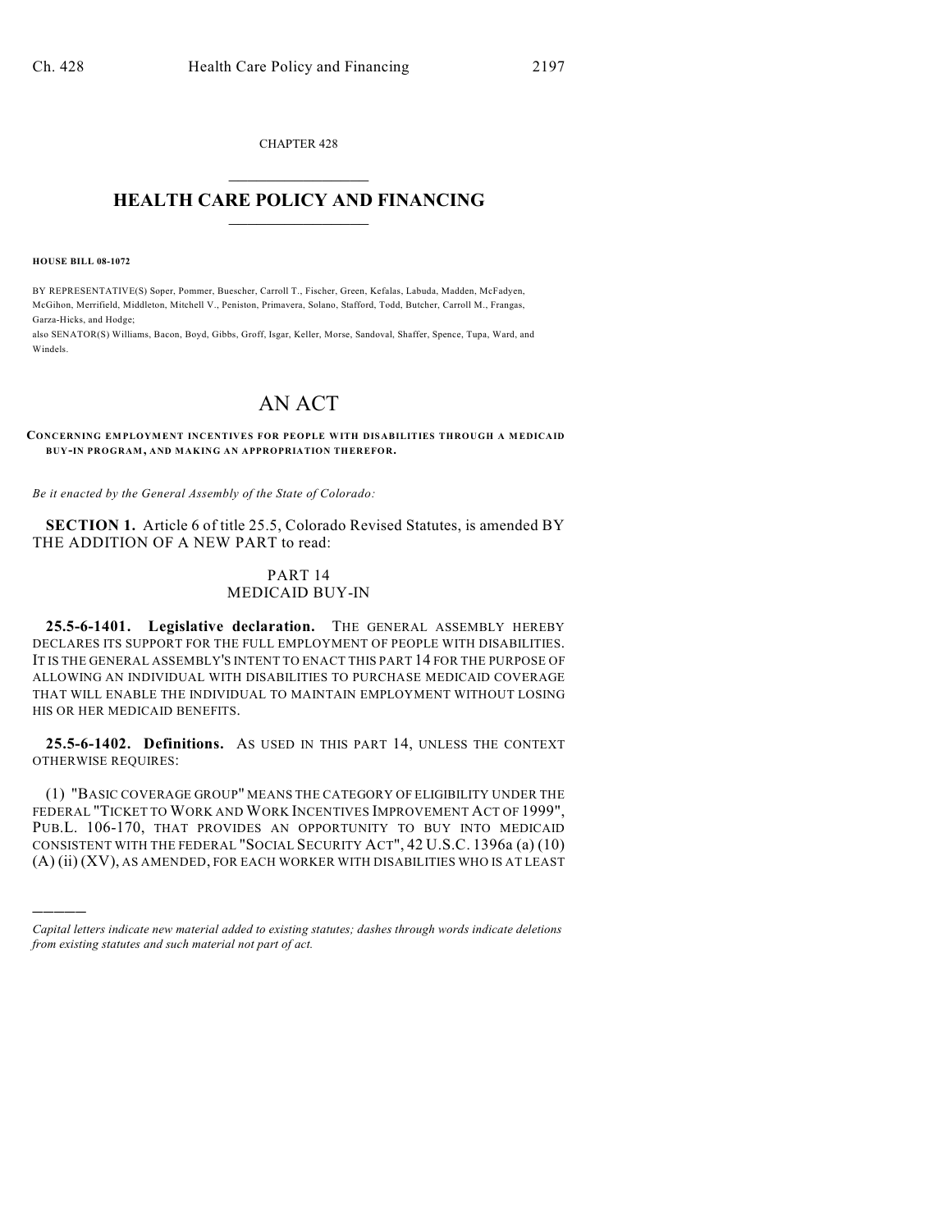CHAPTER 428  $\mathcal{L}_\text{max}$  . The set of the set of the set of the set of the set of the set of the set of the set of the set of the set of the set of the set of the set of the set of the set of the set of the set of the set of the set

## **HEALTH CARE POLICY AND FINANCING**  $\_$   $\_$   $\_$   $\_$   $\_$   $\_$   $\_$   $\_$

**HOUSE BILL 08-1072**

)))))

BY REPRESENTATIVE(S) Soper, Pommer, Buescher, Carroll T., Fischer, Green, Kefalas, Labuda, Madden, McFadyen, McGihon, Merrifield, Middleton, Mitchell V., Peniston, Primavera, Solano, Stafford, Todd, Butcher, Carroll M., Frangas, Garza-Hicks, and Hodge;

also SENATOR(S) Williams, Bacon, Boyd, Gibbs, Groff, Isgar, Keller, Morse, Sandoval, Shaffer, Spence, Tupa, Ward, and Windels.

## AN ACT

**CONCERNING EMPLOYMENT INCENTIVES FOR PEOPLE WITH DISABILITIES THROUGH A MEDICAID BUY-IN PROGRAM, AND MAKING AN APPROPRIATION THEREFOR.**

*Be it enacted by the General Assembly of the State of Colorado:*

**SECTION 1.** Article 6 of title 25.5, Colorado Revised Statutes, is amended BY THE ADDITION OF A NEW PART to read:

## PART 14 MEDICAID BUY-IN

**25.5-6-1401. Legislative declaration.** THE GENERAL ASSEMBLY HEREBY DECLARES ITS SUPPORT FOR THE FULL EMPLOYMENT OF PEOPLE WITH DISABILITIES. IT IS THE GENERAL ASSEMBLY'S INTENT TO ENACT THIS PART 14 FOR THE PURPOSE OF ALLOWING AN INDIVIDUAL WITH DISABILITIES TO PURCHASE MEDICAID COVERAGE THAT WILL ENABLE THE INDIVIDUAL TO MAINTAIN EMPLOYMENT WITHOUT LOSING HIS OR HER MEDICAID BENEFITS.

**25.5-6-1402. Definitions.** AS USED IN THIS PART 14, UNLESS THE CONTEXT OTHERWISE REQUIRES:

(1) "BASIC COVERAGE GROUP" MEANS THE CATEGORY OF ELIGIBILITY UNDER THE FEDERAL "TICKET TO WORK AND WORK INCENTIVES IMPROVEMENT ACT OF 1999", PUB.L. 106-170, THAT PROVIDES AN OPPORTUNITY TO BUY INTO MEDICAID CONSISTENT WITH THE FEDERAL "SOCIAL SECURITY ACT", 42 U.S.C. 1396a (a) (10) (A) (ii) (XV), AS AMENDED, FOR EACH WORKER WITH DISABILITIES WHO IS AT LEAST

*Capital letters indicate new material added to existing statutes; dashes through words indicate deletions from existing statutes and such material not part of act.*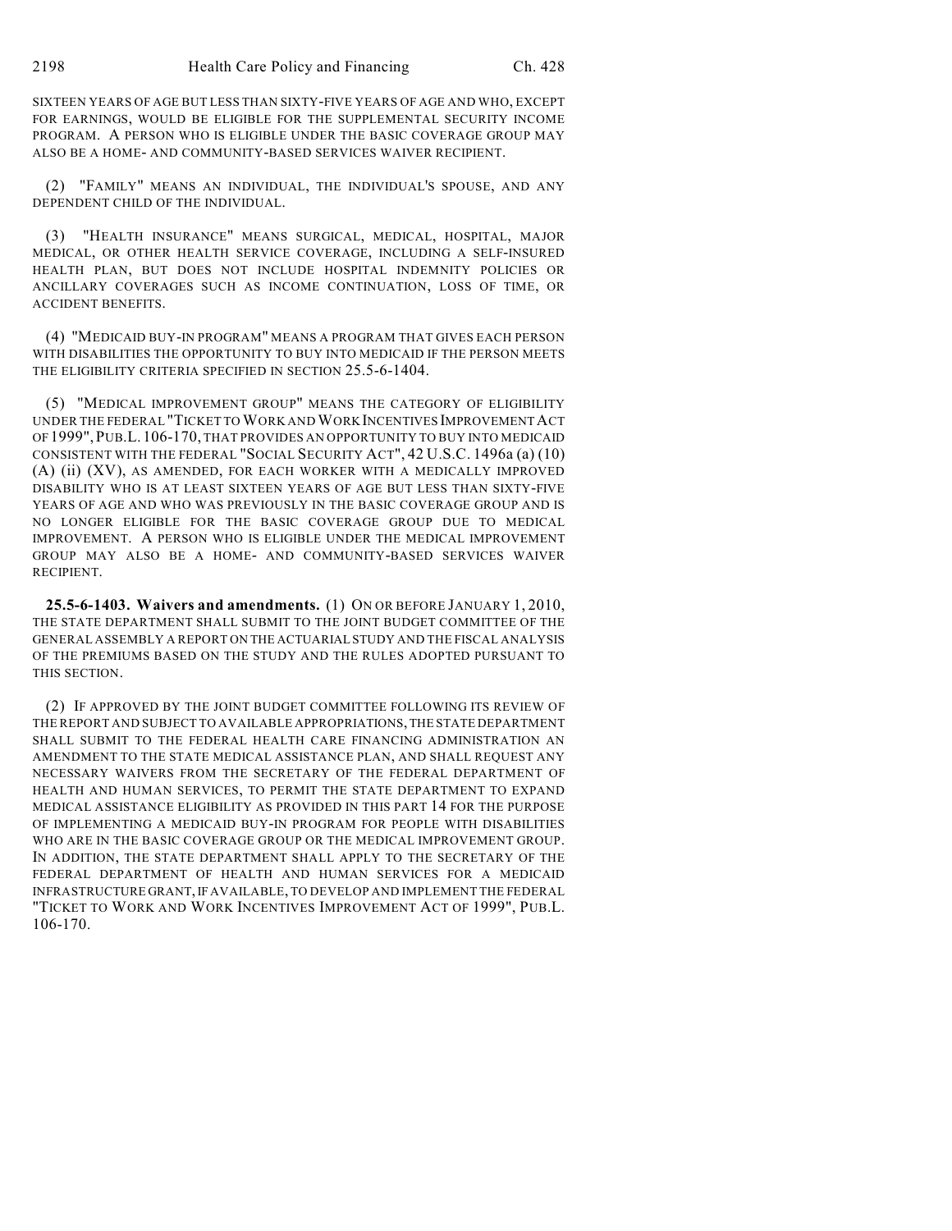SIXTEEN YEARS OF AGE BUT LESS THAN SIXTY-FIVE YEARS OF AGE AND WHO, EXCEPT FOR EARNINGS, WOULD BE ELIGIBLE FOR THE SUPPLEMENTAL SECURITY INCOME PROGRAM. A PERSON WHO IS ELIGIBLE UNDER THE BASIC COVERAGE GROUP MAY ALSO BE A HOME- AND COMMUNITY-BASED SERVICES WAIVER RECIPIENT.

(2) "FAMILY" MEANS AN INDIVIDUAL, THE INDIVIDUAL'S SPOUSE, AND ANY DEPENDENT CHILD OF THE INDIVIDUAL.

(3) "HEALTH INSURANCE" MEANS SURGICAL, MEDICAL, HOSPITAL, MAJOR MEDICAL, OR OTHER HEALTH SERVICE COVERAGE, INCLUDING A SELF-INSURED HEALTH PLAN, BUT DOES NOT INCLUDE HOSPITAL INDEMNITY POLICIES OR ANCILLARY COVERAGES SUCH AS INCOME CONTINUATION, LOSS OF TIME, OR ACCIDENT BENEFITS.

(4) "MEDICAID BUY-IN PROGRAM" MEANS A PROGRAM THAT GIVES EACH PERSON WITH DISABILITIES THE OPPORTUNITY TO BUY INTO MEDICAID IF THE PERSON MEETS THE ELIGIBILITY CRITERIA SPECIFIED IN SECTION 25.5-6-1404.

(5) "MEDICAL IMPROVEMENT GROUP" MEANS THE CATEGORY OF ELIGIBILITY UNDER THE FEDERAL "TICKET TO WORK AND WORK INCENTIVES IMPROVEMENT ACT OF 1999",PUB.L. 106-170, THAT PROVIDES AN OPPORTUNITY TO BUY INTO MEDICAID CONSISTENT WITH THE FEDERAL "SOCIAL SECURITY ACT", 42 U.S.C. 1496a (a) (10) (A) (ii) (XV), AS AMENDED, FOR EACH WORKER WITH A MEDICALLY IMPROVED DISABILITY WHO IS AT LEAST SIXTEEN YEARS OF AGE BUT LESS THAN SIXTY-FIVE YEARS OF AGE AND WHO WAS PREVIOUSLY IN THE BASIC COVERAGE GROUP AND IS NO LONGER ELIGIBLE FOR THE BASIC COVERAGE GROUP DUE TO MEDICAL IMPROVEMENT. A PERSON WHO IS ELIGIBLE UNDER THE MEDICAL IMPROVEMENT GROUP MAY ALSO BE A HOME- AND COMMUNITY-BASED SERVICES WAIVER RECIPIENT.

**25.5-6-1403. Waivers and amendments.** (1) ON OR BEFORE JANUARY 1, 2010, THE STATE DEPARTMENT SHALL SUBMIT TO THE JOINT BUDGET COMMITTEE OF THE GENERAL ASSEMBLY A REPORT ON THE ACTUARIAL STUDY AND THE FISCAL ANALYSIS OF THE PREMIUMS BASED ON THE STUDY AND THE RULES ADOPTED PURSUANT TO THIS SECTION.

(2) IF APPROVED BY THE JOINT BUDGET COMMITTEE FOLLOWING ITS REVIEW OF THE REPORT AND SUBJECT TO AVAILABLE APPROPRIATIONS, THE STATE DEPARTMENT SHALL SUBMIT TO THE FEDERAL HEALTH CARE FINANCING ADMINISTRATION AN AMENDMENT TO THE STATE MEDICAL ASSISTANCE PLAN, AND SHALL REQUEST ANY NECESSARY WAIVERS FROM THE SECRETARY OF THE FEDERAL DEPARTMENT OF HEALTH AND HUMAN SERVICES, TO PERMIT THE STATE DEPARTMENT TO EXPAND MEDICAL ASSISTANCE ELIGIBILITY AS PROVIDED IN THIS PART 14 FOR THE PURPOSE OF IMPLEMENTING A MEDICAID BUY-IN PROGRAM FOR PEOPLE WITH DISABILITIES WHO ARE IN THE BASIC COVERAGE GROUP OR THE MEDICAL IMPROVEMENT GROUP. IN ADDITION, THE STATE DEPARTMENT SHALL APPLY TO THE SECRETARY OF THE FEDERAL DEPARTMENT OF HEALTH AND HUMAN SERVICES FOR A MEDICAID INFRASTRUCTURE GRANT, IF AVAILABLE, TO DEVELOP AND IMPLEMENT THE FEDERAL "TICKET TO WORK AND WORK INCENTIVES IMPROVEMENT ACT OF 1999", PUB.L. 106-170.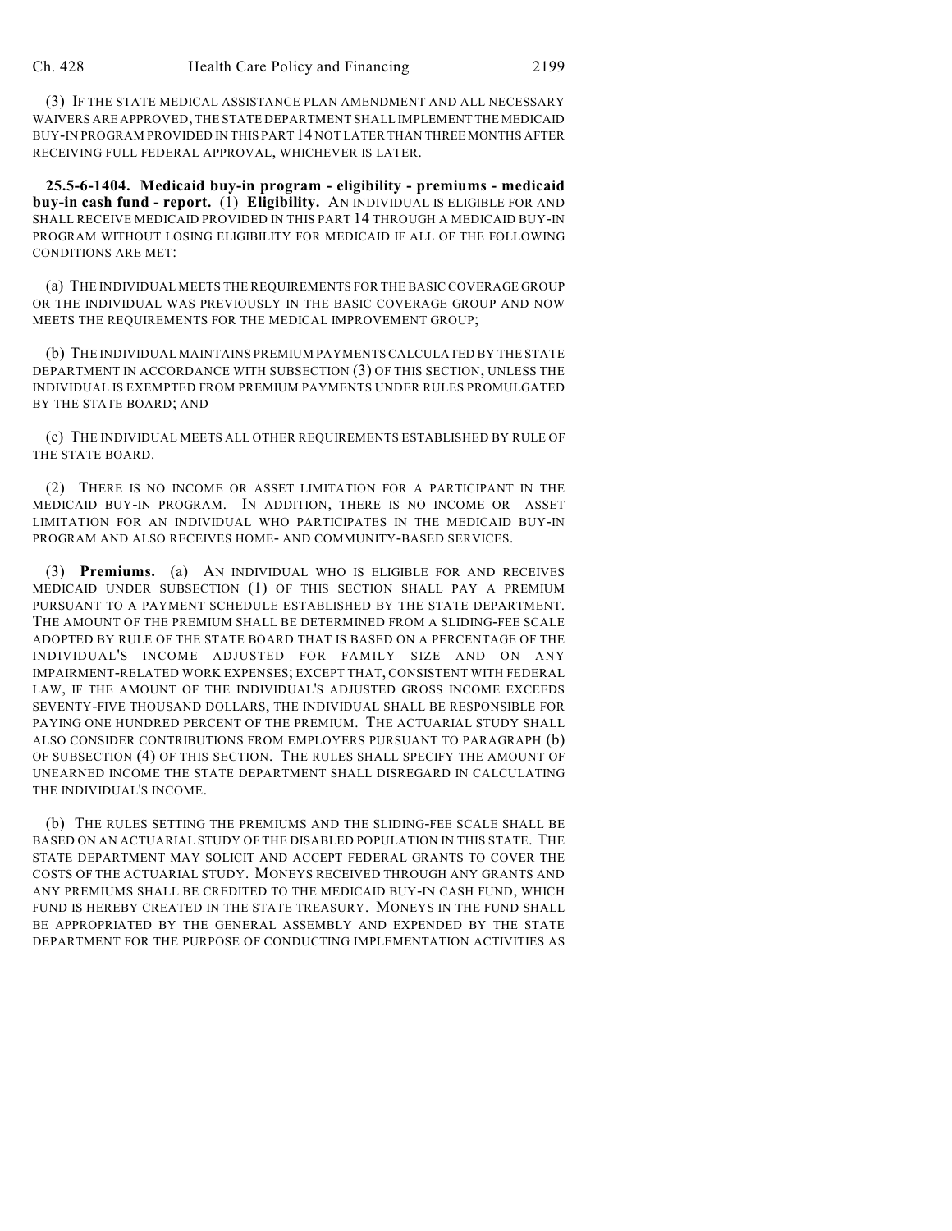(3) IF THE STATE MEDICAL ASSISTANCE PLAN AMENDMENT AND ALL NECESSARY WAIVERS ARE APPROVED, THE STATE DEPARTMENT SHALL IMPLEMENT THE MEDICAID BUY-IN PROGRAM PROVIDED IN THIS PART 14 NOT LATER THAN THREE MONTHS AFTER RECEIVING FULL FEDERAL APPROVAL, WHICHEVER IS LATER.

**25.5-6-1404. Medicaid buy-in program - eligibility - premiums - medicaid buy-in cash fund - report.** (1) **Eligibility.** AN INDIVIDUAL IS ELIGIBLE FOR AND SHALL RECEIVE MEDICAID PROVIDED IN THIS PART 14 THROUGH A MEDICAID BUY-IN PROGRAM WITHOUT LOSING ELIGIBILITY FOR MEDICAID IF ALL OF THE FOLLOWING CONDITIONS ARE MET:

(a) THE INDIVIDUAL MEETS THE REQUIREMENTS FOR THE BASIC COVERAGE GROUP OR THE INDIVIDUAL WAS PREVIOUSLY IN THE BASIC COVERAGE GROUP AND NOW MEETS THE REQUIREMENTS FOR THE MEDICAL IMPROVEMENT GROUP;

(b) THE INDIVIDUAL MAINTAINS PREMIUM PAYMENTS CALCULATED BY THE STATE DEPARTMENT IN ACCORDANCE WITH SUBSECTION (3) OF THIS SECTION, UNLESS THE INDIVIDUAL IS EXEMPTED FROM PREMIUM PAYMENTS UNDER RULES PROMULGATED BY THE STATE BOARD; AND

(c) THE INDIVIDUAL MEETS ALL OTHER REQUIREMENTS ESTABLISHED BY RULE OF THE STATE BOARD.

(2) THERE IS NO INCOME OR ASSET LIMITATION FOR A PARTICIPANT IN THE MEDICAID BUY-IN PROGRAM. IN ADDITION, THERE IS NO INCOME OR ASSET LIMITATION FOR AN INDIVIDUAL WHO PARTICIPATES IN THE MEDICAID BUY-IN PROGRAM AND ALSO RECEIVES HOME- AND COMMUNITY-BASED SERVICES.

(3) **Premiums.** (a) AN INDIVIDUAL WHO IS ELIGIBLE FOR AND RECEIVES MEDICAID UNDER SUBSECTION (1) OF THIS SECTION SHALL PAY A PREMIUM PURSUANT TO A PAYMENT SCHEDULE ESTABLISHED BY THE STATE DEPARTMENT. THE AMOUNT OF THE PREMIUM SHALL BE DETERMINED FROM A SLIDING-FEE SCALE ADOPTED BY RULE OF THE STATE BOARD THAT IS BASED ON A PERCENTAGE OF THE INDIVIDUAL'S INCOME ADJUSTED FOR FAMILY SIZE AND ON ANY IMPAIRMENT-RELATED WORK EXPENSES; EXCEPT THAT, CONSISTENT WITH FEDERAL LAW, IF THE AMOUNT OF THE INDIVIDUAL'S ADJUSTED GROSS INCOME EXCEEDS SEVENTY-FIVE THOUSAND DOLLARS, THE INDIVIDUAL SHALL BE RESPONSIBLE FOR PAYING ONE HUNDRED PERCENT OF THE PREMIUM. THE ACTUARIAL STUDY SHALL ALSO CONSIDER CONTRIBUTIONS FROM EMPLOYERS PURSUANT TO PARAGRAPH (b) OF SUBSECTION (4) OF THIS SECTION. THE RULES SHALL SPECIFY THE AMOUNT OF UNEARNED INCOME THE STATE DEPARTMENT SHALL DISREGARD IN CALCULATING THE INDIVIDUAL'S INCOME.

(b) THE RULES SETTING THE PREMIUMS AND THE SLIDING-FEE SCALE SHALL BE BASED ON AN ACTUARIAL STUDY OF THE DISABLED POPULATION IN THIS STATE. THE STATE DEPARTMENT MAY SOLICIT AND ACCEPT FEDERAL GRANTS TO COVER THE COSTS OF THE ACTUARIAL STUDY. MONEYS RECEIVED THROUGH ANY GRANTS AND ANY PREMIUMS SHALL BE CREDITED TO THE MEDICAID BUY-IN CASH FUND, WHICH FUND IS HEREBY CREATED IN THE STATE TREASURY. MONEYS IN THE FUND SHALL BE APPROPRIATED BY THE GENERAL ASSEMBLY AND EXPENDED BY THE STATE DEPARTMENT FOR THE PURPOSE OF CONDUCTING IMPLEMENTATION ACTIVITIES AS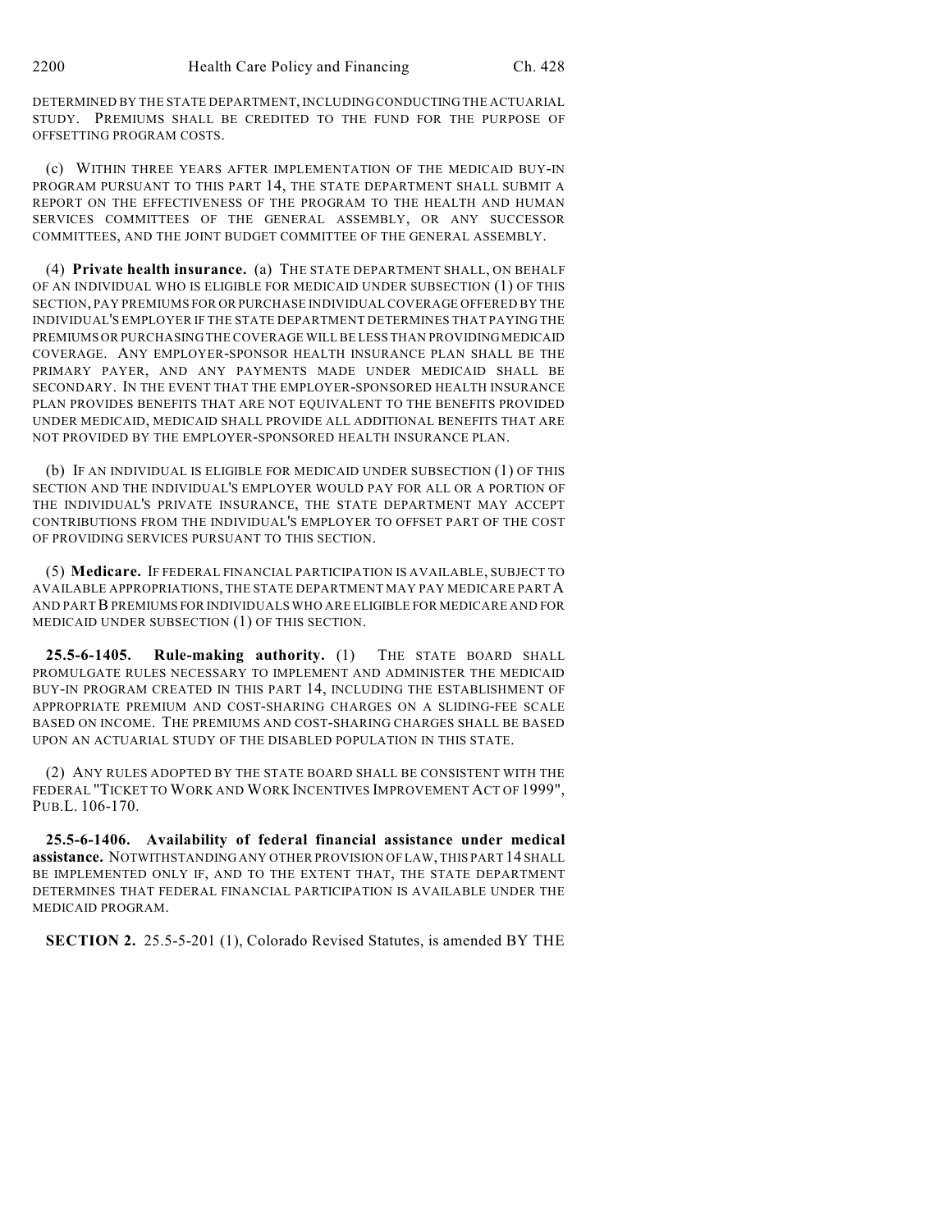DETERMINED BY THE STATE DEPARTMENT, INCLUDING CONDUCTING THE ACTUARIAL STUDY. PREMIUMS SHALL BE CREDITED TO THE FUND FOR THE PURPOSE OF OFFSETTING PROGRAM COSTS.

(c) WITHIN THREE YEARS AFTER IMPLEMENTATION OF THE MEDICAID BUY-IN PROGRAM PURSUANT TO THIS PART 14, THE STATE DEPARTMENT SHALL SUBMIT A REPORT ON THE EFFECTIVENESS OF THE PROGRAM TO THE HEALTH AND HUMAN SERVICES COMMITTEES OF THE GENERAL ASSEMBLY, OR ANY SUCCESSOR COMMITTEES, AND THE JOINT BUDGET COMMITTEE OF THE GENERAL ASSEMBLY.

(4) **Private health insurance.** (a) THE STATE DEPARTMENT SHALL, ON BEHALF OF AN INDIVIDUAL WHO IS ELIGIBLE FOR MEDICAID UNDER SUBSECTION (1) OF THIS SECTION, PAY PREMIUMS FOR OR PURCHASE INDIVIDUAL COVERAGE OFFERED BY THE INDIVIDUAL'S EMPLOYER IF THE STATE DEPARTMENT DETERMINES THAT PAYING THE PREMIUMS OR PURCHASING THE COVERAGE WILL BE LESS THAN PROVIDING MEDICAID COVERAGE. ANY EMPLOYER-SPONSOR HEALTH INSURANCE PLAN SHALL BE THE PRIMARY PAYER, AND ANY PAYMENTS MADE UNDER MEDICAID SHALL BE SECONDARY. IN THE EVENT THAT THE EMPLOYER-SPONSORED HEALTH INSURANCE PLAN PROVIDES BENEFITS THAT ARE NOT EQUIVALENT TO THE BENEFITS PROVIDED UNDER MEDICAID, MEDICAID SHALL PROVIDE ALL ADDITIONAL BENEFITS THAT ARE NOT PROVIDED BY THE EMPLOYER-SPONSORED HEALTH INSURANCE PLAN.

(b) IF AN INDIVIDUAL IS ELIGIBLE FOR MEDICAID UNDER SUBSECTION (1) OF THIS SECTION AND THE INDIVIDUAL'S EMPLOYER WOULD PAY FOR ALL OR A PORTION OF THE INDIVIDUAL'S PRIVATE INSURANCE, THE STATE DEPARTMENT MAY ACCEPT CONTRIBUTIONS FROM THE INDIVIDUAL'S EMPLOYER TO OFFSET PART OF THE COST OF PROVIDING SERVICES PURSUANT TO THIS SECTION.

(5) **Medicare.** IF FEDERAL FINANCIAL PARTICIPATION IS AVAILABLE, SUBJECT TO AVAILABLE APPROPRIATIONS, THE STATE DEPARTMENT MAY PAY MEDICARE PART A AND PART B PREMIUMS FOR INDIVIDUALS WHO ARE ELIGIBLE FOR MEDICARE AND FOR MEDICAID UNDER SUBSECTION (1) OF THIS SECTION.

**25.5-6-1405. Rule-making authority.** (1) THE STATE BOARD SHALL PROMULGATE RULES NECESSARY TO IMPLEMENT AND ADMINISTER THE MEDICAID BUY-IN PROGRAM CREATED IN THIS PART 14, INCLUDING THE ESTABLISHMENT OF APPROPRIATE PREMIUM AND COST-SHARING CHARGES ON A SLIDING-FEE SCALE BASED ON INCOME. THE PREMIUMS AND COST-SHARING CHARGES SHALL BE BASED UPON AN ACTUARIAL STUDY OF THE DISABLED POPULATION IN THIS STATE.

(2) ANY RULES ADOPTED BY THE STATE BOARD SHALL BE CONSISTENT WITH THE FEDERAL "TICKET TO WORK AND WORK INCENTIVES IMPROVEMENT ACT OF 1999", PUB.L. 106-170.

**25.5-6-1406. Availability of federal financial assistance under medical assistance.** NOTWITHSTANDING ANY OTHER PROVISION OF LAW, THIS PART 14 SHALL BE IMPLEMENTED ONLY IF, AND TO THE EXTENT THAT, THE STATE DEPARTMENT DETERMINES THAT FEDERAL FINANCIAL PARTICIPATION IS AVAILABLE UNDER THE MEDICAID PROGRAM.

**SECTION 2.** 25.5-5-201 (1), Colorado Revised Statutes, is amended BY THE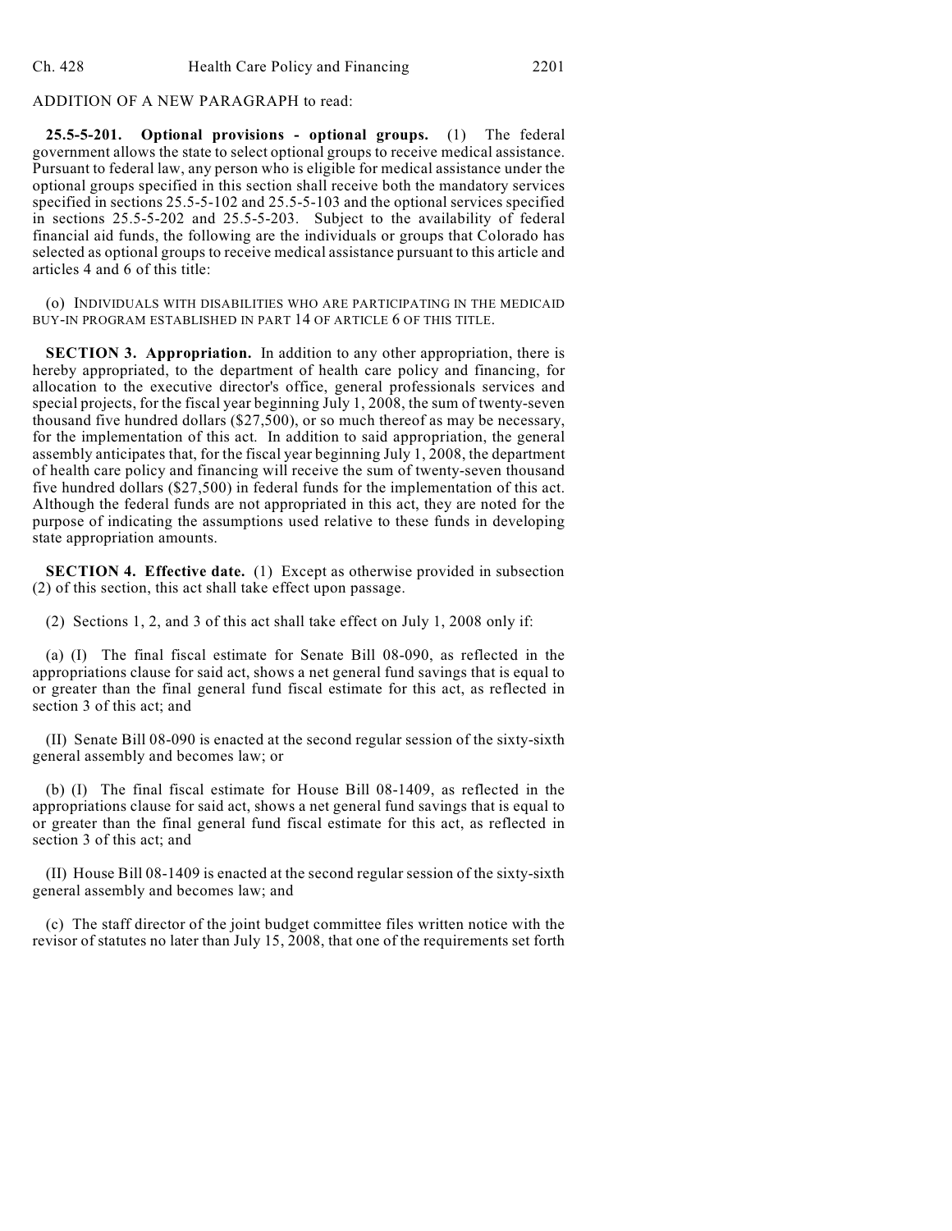ADDITION OF A NEW PARAGRAPH to read:

**25.5-5-201. Optional provisions - optional groups.** (1) The federal government allows the state to select optional groups to receive medical assistance. Pursuant to federal law, any person who is eligible for medical assistance under the optional groups specified in this section shall receive both the mandatory services specified in sections 25.5-5-102 and 25.5-5-103 and the optional services specified in sections 25.5-5-202 and 25.5-5-203. Subject to the availability of federal financial aid funds, the following are the individuals or groups that Colorado has selected as optional groups to receive medical assistance pursuant to this article and articles 4 and 6 of this title:

(o) INDIVIDUALS WITH DISABILITIES WHO ARE PARTICIPATING IN THE MEDICAID BUY-IN PROGRAM ESTABLISHED IN PART 14 OF ARTICLE 6 OF THIS TITLE.

**SECTION 3. Appropriation.** In addition to any other appropriation, there is hereby appropriated, to the department of health care policy and financing, for allocation to the executive director's office, general professionals services and special projects, for the fiscal year beginning July 1, 2008, the sum of twenty-seven thousand five hundred dollars (\$27,500), or so much thereof as may be necessary, for the implementation of this act. In addition to said appropriation, the general assembly anticipates that, for the fiscal year beginning July 1, 2008, the department of health care policy and financing will receive the sum of twenty-seven thousand five hundred dollars (\$27,500) in federal funds for the implementation of this act. Although the federal funds are not appropriated in this act, they are noted for the purpose of indicating the assumptions used relative to these funds in developing state appropriation amounts.

**SECTION 4. Effective date.** (1) Except as otherwise provided in subsection (2) of this section, this act shall take effect upon passage.

(2) Sections 1, 2, and 3 of this act shall take effect on July 1, 2008 only if:

(a) (I) The final fiscal estimate for Senate Bill 08-090, as reflected in the appropriations clause for said act, shows a net general fund savings that is equal to or greater than the final general fund fiscal estimate for this act, as reflected in section 3 of this act; and

(II) Senate Bill 08-090 is enacted at the second regular session of the sixty-sixth general assembly and becomes law; or

(b) (I) The final fiscal estimate for House Bill 08-1409, as reflected in the appropriations clause for said act, shows a net general fund savings that is equal to or greater than the final general fund fiscal estimate for this act, as reflected in section 3 of this act; and

(II) House Bill 08-1409 is enacted at the second regular session of the sixty-sixth general assembly and becomes law; and

(c) The staff director of the joint budget committee files written notice with the revisor of statutes no later than July 15, 2008, that one of the requirements set forth